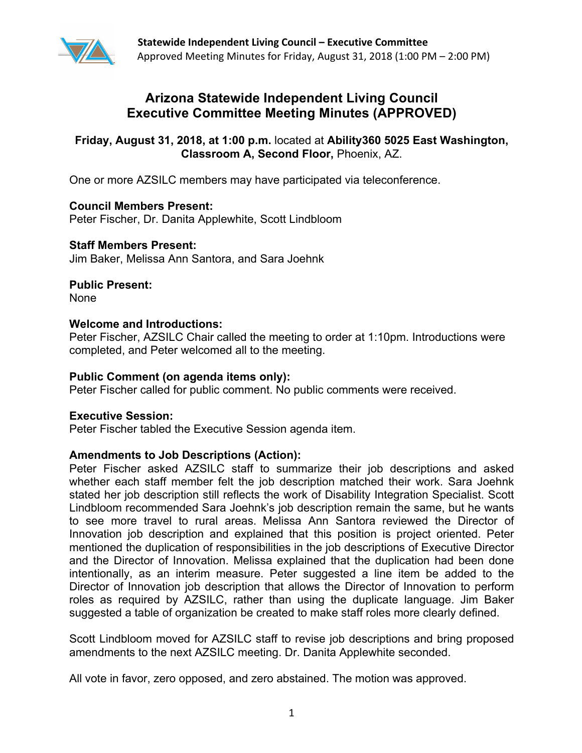

# **Arizona Statewide Independent Living Council Executive Committee Meeting Minutes (APPROVED)**

## **Friday, August 31, 2018, at 1:00 p.m.** located at **Ability360 5025 East Washington, Classroom A, Second Floor,** Phoenix, AZ.

One or more AZSILC members may have participated via teleconference.

**Council Members Present:**  Peter Fischer, Dr. Danita Applewhite, Scott Lindbloom

## **Staff Members Present:**

Jim Baker, Melissa Ann Santora, and Sara Joehnk

**Public Present:** 

None

## **Welcome and Introductions:**

Peter Fischer, AZSILC Chair called the meeting to order at 1:10pm. Introductions were completed, and Peter welcomed all to the meeting.

## **Public Comment (on agenda items only):**

Peter Fischer called for public comment. No public comments were received.

## **Executive Session:**

Peter Fischer tabled the Executive Session agenda item.

## **Amendments to Job Descriptions (Action):**

Peter Fischer asked AZSILC staff to summarize their job descriptions and asked whether each staff member felt the job description matched their work. Sara Joehnk stated her job description still reflects the work of Disability Integration Specialist. Scott Lindbloom recommended Sara Joehnk's job description remain the same, but he wants to see more travel to rural areas. Melissa Ann Santora reviewed the Director of Innovation job description and explained that this position is project oriented. Peter mentioned the duplication of responsibilities in the job descriptions of Executive Director and the Director of Innovation. Melissa explained that the duplication had been done intentionally, as an interim measure. Peter suggested a line item be added to the Director of Innovation job description that allows the Director of Innovation to perform roles as required by AZSILC, rather than using the duplicate language. Jim Baker suggested a table of organization be created to make staff roles more clearly defined.

Scott Lindbloom moved for AZSILC staff to revise job descriptions and bring proposed amendments to the next AZSILC meeting. Dr. Danita Applewhite seconded.

All vote in favor, zero opposed, and zero abstained. The motion was approved.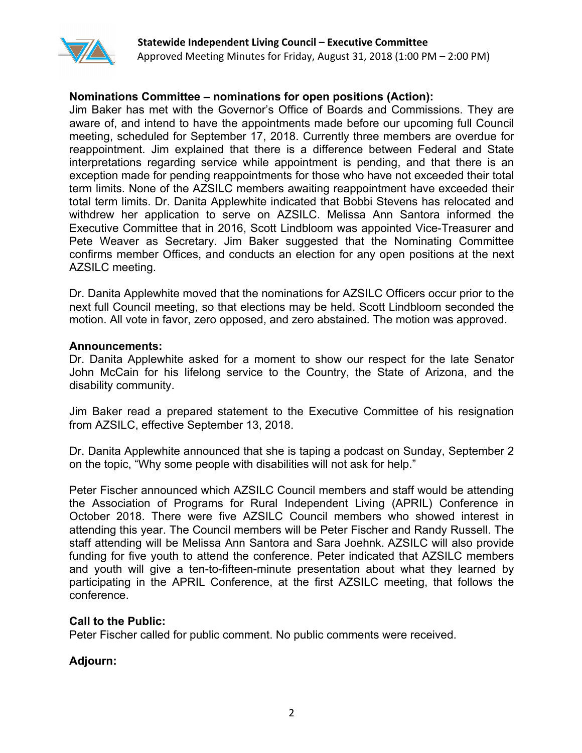

## **Nominations Committee – nominations for open positions (Action):**

Jim Baker has met with the Governor's Office of Boards and Commissions. They are aware of, and intend to have the appointments made before our upcoming full Council meeting, scheduled for September 17, 2018. Currently three members are overdue for reappointment. Jim explained that there is a difference between Federal and State interpretations regarding service while appointment is pending, and that there is an exception made for pending reappointments for those who have not exceeded their total term limits. None of the AZSILC members awaiting reappointment have exceeded their total term limits. Dr. Danita Applewhite indicated that Bobbi Stevens has relocated and withdrew her application to serve on AZSILC. Melissa Ann Santora informed the Executive Committee that in 2016, Scott Lindbloom was appointed Vice-Treasurer and Pete Weaver as Secretary. Jim Baker suggested that the Nominating Committee confirms member Offices, and conducts an election for any open positions at the next AZSILC meeting.

Dr. Danita Applewhite moved that the nominations for AZSILC Officers occur prior to the next full Council meeting, so that elections may be held. Scott Lindbloom seconded the motion. All vote in favor, zero opposed, and zero abstained. The motion was approved.

#### **Announcements:**

Dr. Danita Applewhite asked for a moment to show our respect for the late Senator John McCain for his lifelong service to the Country, the State of Arizona, and the disability community.

Jim Baker read a prepared statement to the Executive Committee of his resignation from AZSILC, effective September 13, 2018.

Dr. Danita Applewhite announced that she is taping a podcast on Sunday, September 2 on the topic, "Why some people with disabilities will not ask for help."

Peter Fischer announced which AZSILC Council members and staff would be attending the Association of Programs for Rural Independent Living (APRIL) Conference in October 2018. There were five AZSILC Council members who showed interest in attending this year. The Council members will be Peter Fischer and Randy Russell. The staff attending will be Melissa Ann Santora and Sara Joehnk. AZSILC will also provide funding for five youth to attend the conference. Peter indicated that AZSILC members and youth will give a ten-to-fifteen-minute presentation about what they learned by participating in the APRIL Conference, at the first AZSILC meeting, that follows the conference.

#### **Call to the Public:**

Peter Fischer called for public comment. No public comments were received.

## **Adjourn:**